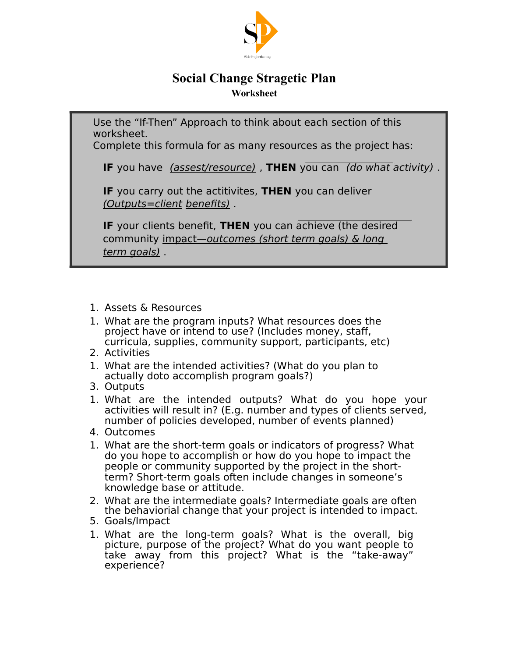

#### **Social Change Stragetic Plan Worksheet**

Use the "If-Then" Approach to think about each section of this worksheet.

Complete this formula for as many resources as the project has:

**IF** you have(assest/resource) , **THEN** you can(do what activity) .

**IF** you carry out the actitivites, **THEN** you can deliver (Outputs=client benefits) .

**IF** your clients benefit, **THEN** you can achieve (the desired community impact-outcomes (short term goals) & long term goals) .

- 1. Assets & Resources
- 1. What are the program inputs? What resources does the project have or intend to use? (Includes money, staff, curricula, supplies, community support, participants, etc)
- 2. Activities
- 1. What are the intended activities? (What do you plan to actually doto accomplish program goals?)
- 3. Outputs
- 1. What are the intended outputs? What do you hope your activities will result in? (E.g. number and types of clients served, number of policies developed, number of events planned)
- 4. Outcomes
- 1. What are the short-term goals or indicators of progress? What do you hope to accomplish or how do you hope to impact the people or community supported by the project in the shortterm? Short-term goals often include changes in someone's knowledge base or attitude.
- 2. What are the intermediate goals? Intermediate goals are often the behaviorial change that your project is intended to impact.
- 5. Goals/Impact
- 1. What are the long-term goals? What is the overall, big picture, purpose of the project? What do you want people to take away from this project? What is the "take-away" experience?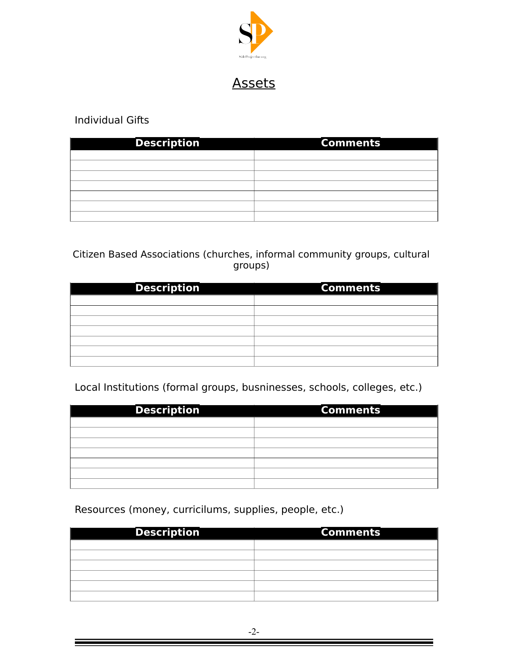

**Assets** 

Individual Gifts

| <b>Description</b> | <b>Comments</b> |
|--------------------|-----------------|
|                    |                 |
|                    |                 |
|                    |                 |
|                    |                 |
|                    |                 |
|                    |                 |
|                    |                 |

#### Citizen Based Associations (churches, informal community groups, cultural groups)

| <b>Description</b> | <b>Comments</b> |
|--------------------|-----------------|
|                    |                 |
|                    |                 |
|                    |                 |
|                    |                 |
|                    |                 |
|                    |                 |
|                    |                 |

Local Institutions (formal groups, busninesses, schools, colleges, etc.)

| <b>Description</b> | <b>Comments</b> |
|--------------------|-----------------|
|                    |                 |
|                    |                 |
|                    |                 |
|                    |                 |
|                    |                 |
|                    |                 |
|                    |                 |

Resources (money, curricilums, supplies, people, etc.)

| <b>Description</b> | <b>Comments</b> |
|--------------------|-----------------|
|                    |                 |
|                    |                 |
|                    |                 |
|                    |                 |
|                    |                 |
|                    |                 |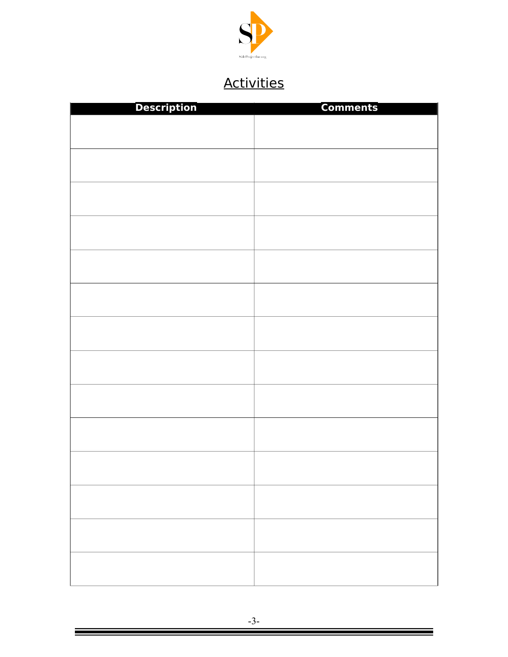

# **Activities**

| <b>Description</b> | <b>Comments</b> |
|--------------------|-----------------|
|                    |                 |
|                    |                 |
|                    |                 |
|                    |                 |
|                    |                 |
|                    |                 |
|                    |                 |
|                    |                 |
|                    |                 |
|                    |                 |
|                    |                 |
|                    |                 |
|                    |                 |
|                    |                 |
|                    |                 |
|                    |                 |
|                    |                 |
|                    |                 |
|                    |                 |
|                    |                 |
|                    |                 |
|                    |                 |
|                    |                 |
|                    |                 |
|                    |                 |
|                    |                 |
|                    |                 |
|                    |                 |
|                    |                 |
|                    |                 |
|                    |                 |
|                    |                 |
|                    |                 |
|                    |                 |
|                    |                 |
|                    |                 |
|                    |                 |
|                    |                 |
|                    |                 |
|                    |                 |
|                    |                 |
|                    |                 |
|                    |                 |
|                    |                 |
|                    |                 |
|                    |                 |
|                    |                 |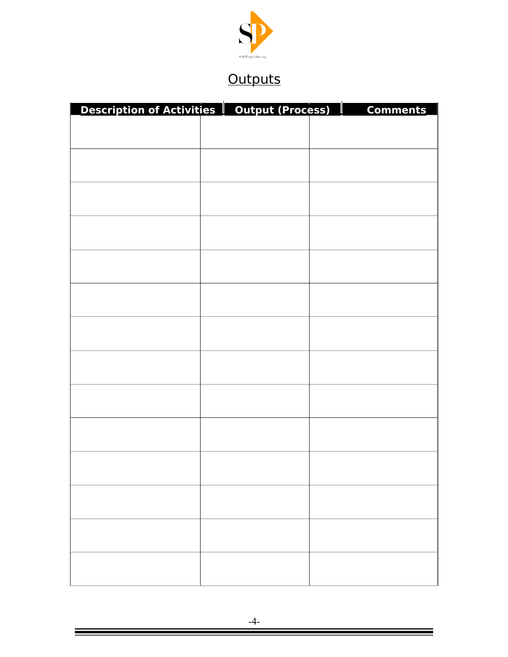

### **Outputs**

| <b>Description of Activities Coutput (Process)</b> | Comments_ |
|----------------------------------------------------|-----------|
|                                                    |           |
|                                                    |           |
|                                                    |           |
|                                                    |           |
|                                                    |           |
|                                                    |           |
|                                                    |           |
|                                                    |           |
|                                                    |           |
|                                                    |           |
|                                                    |           |
|                                                    |           |
|                                                    |           |
|                                                    |           |
|                                                    |           |
|                                                    |           |
|                                                    |           |
|                                                    |           |
|                                                    |           |
|                                                    |           |
|                                                    |           |
|                                                    |           |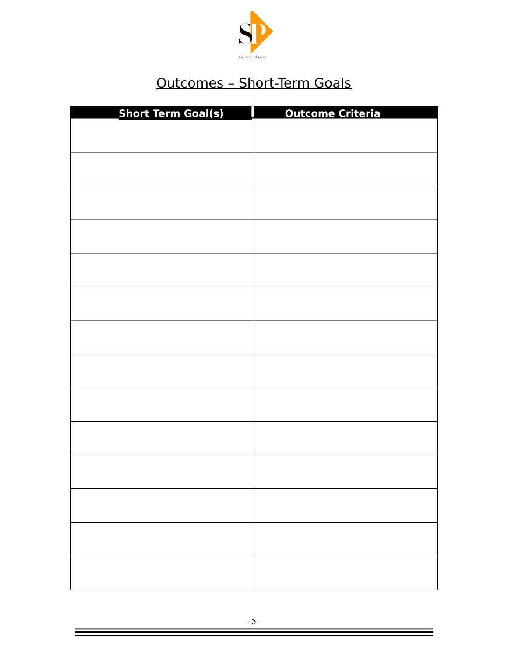

### Outcomes – Short-Term Goals

| <b>Short Term Goal(s)</b> | <b>Outcome Criteria</b> |
|---------------------------|-------------------------|
|                           |                         |
|                           |                         |
|                           |                         |
|                           |                         |
|                           |                         |
|                           |                         |
|                           |                         |
|                           |                         |
|                           |                         |
|                           |                         |
|                           |                         |
|                           |                         |
|                           |                         |
|                           |                         |
|                           |                         |
|                           |                         |
|                           |                         |
|                           |                         |
|                           |                         |
|                           |                         |
|                           |                         |
|                           |                         |
|                           |                         |
|                           |                         |
|                           |                         |
|                           |                         |
|                           |                         |
|                           |                         |
|                           |                         |
|                           |                         |
|                           |                         |
|                           |                         |
|                           |                         |
|                           |                         |
|                           |                         |
|                           |                         |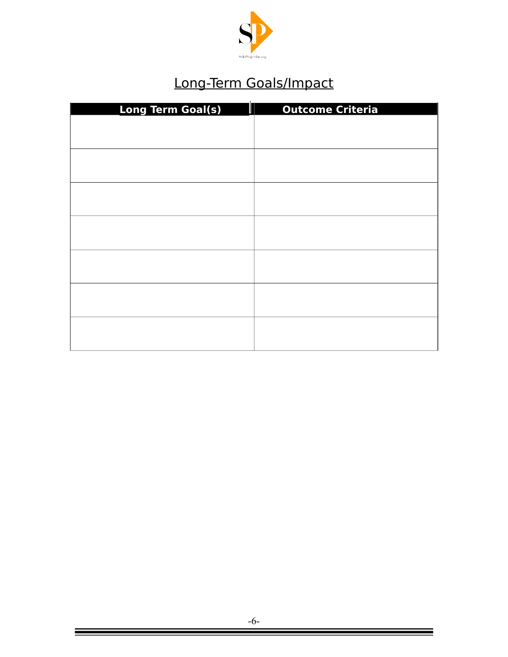

# Long-Term Goals/Impact

| M<br><b>Long Term Goal(s)</b> | <b>Outcome Criteria</b> |
|-------------------------------|-------------------------|
|                               |                         |
|                               |                         |
|                               |                         |
|                               |                         |
|                               |                         |
|                               |                         |
|                               |                         |
|                               |                         |
|                               |                         |
|                               |                         |
|                               |                         |
|                               |                         |
|                               |                         |
|                               |                         |
|                               |                         |
|                               |                         |
|                               |                         |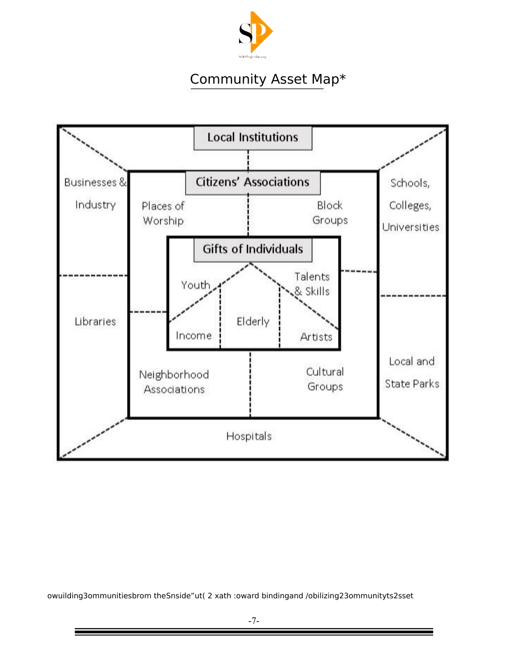

#### Community Asset Map\*



owuilding3ommunitiesbrom theSnside"ut( 2 xath :oward bindingand /obilizing23ommunityts2sset